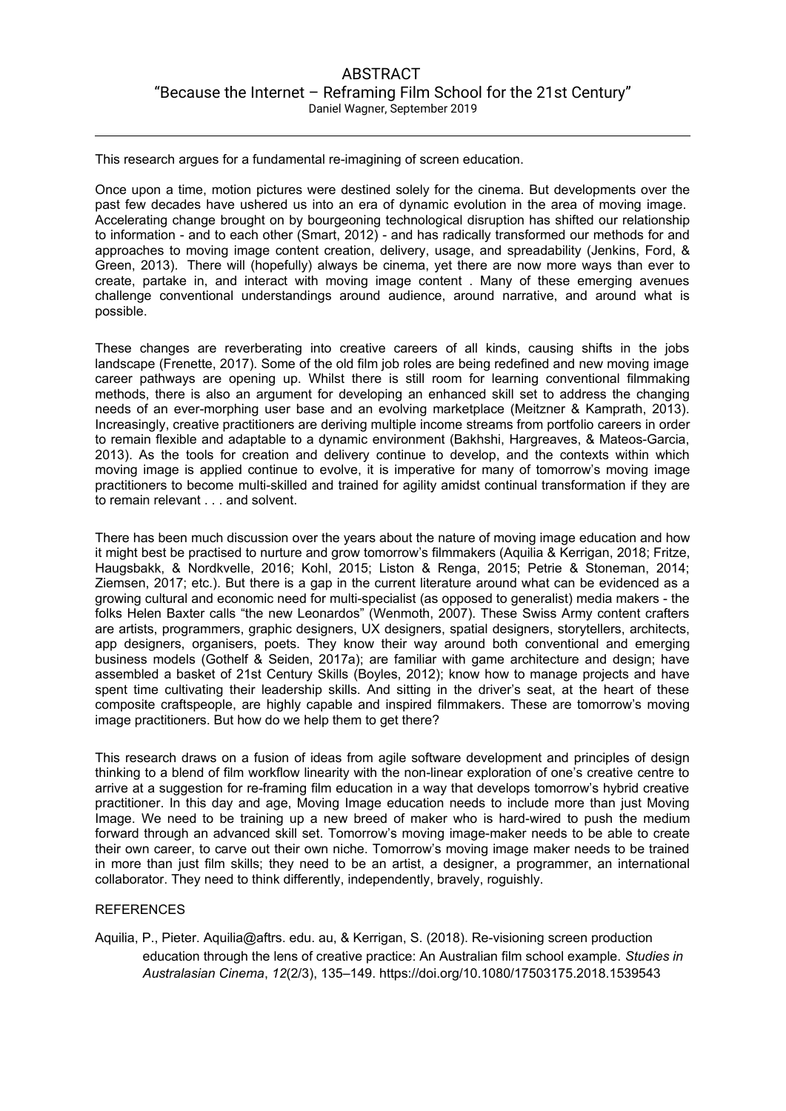## ABSTRACT "Because the Internet – Reframing Film School for the 21st Century" Daniel Wagner, September 2019

This research argues for a fundamental re-imagining of screen education.

Once upon a time, motion pictures were destined solely for the cinema. But developments over the past few decades have ushered us into an era of dynamic evolution in the area of moving image. Accelerating change brought on by bourgeoning technological disruption has shifted our relationship to information - and to each other (Smart, 2012) - and has radically transformed our methods for and approaches to moving image content creation, delivery, usage, and spreadability (Jenkins, Ford, & Green, 2013). There will (hopefully) always be cinema, yet there are now more ways than ever to create, partake in, and interact with moving image content . Many of these emerging avenues challenge conventional understandings around audience, around narrative, and around what is possible.

These changes are reverberating into creative careers of all kinds, causing shifts in the jobs landscape (Frenette, 2017). Some of the old film job roles are being redefined and new moving image career pathways are opening up. Whilst there is still room for learning conventional filmmaking methods, there is also an argument for developing an enhanced skill set to address the changing needs of an ever-morphing user base and an evolving marketplace (Meitzner & Kamprath, 2013). Increasingly, creative practitioners are deriving multiple income streams from portfolio careers in order to remain flexible and adaptable to a dynamic environment (Bakhshi, Hargreaves, & Mateos-Garcia, 2013). As the tools for creation and delivery continue to develop, and the contexts within which moving image is applied continue to evolve, it is imperative for many of tomorrow's moving image practitioners to become multi-skilled and trained for agility amidst continual transformation if they are to remain relevant . . . and solvent.

There has been much discussion over the years about the nature of moving image education and how it might best be practised to nurture and grow tomorrow's filmmakers (Aquilia & Kerrigan, 2018; Fritze, Haugsbakk, & Nordkvelle, 2016; Kohl, 2015; Liston & Renga, 2015; Petrie & Stoneman, 2014; Ziemsen, 2017; etc.). But there is a gap in the current literature around what can be evidenced as a growing cultural and economic need for multi-specialist (as opposed to generalist) media makers - the folks Helen Baxter calls "the new Leonardos" (Wenmoth, 2007). These Swiss Army content crafters are artists, programmers, graphic designers, UX designers, spatial designers, storytellers, architects, app designers, organisers, poets. They know their way around both conventional and emerging business models (Gothelf & Seiden, 2017a); are familiar with game architecture and design; have assembled a basket of 21st Century Skills (Boyles, 2012); know how to manage projects and have spent time cultivating their leadership skills. And sitting in the driver's seat, at the heart of these composite craftspeople, are highly capable and inspired filmmakers. These are tomorrow's moving image practitioners. But how do we help them to get there?

This research draws on a fusion of ideas from agile software development and principles of design thinking to a blend of film workflow linearity with the non-linear exploration of one's creative centre to arrive at a suggestion for re-framing film education in a way that develops tomorrow's hybrid creative practitioner. In this day and age, Moving Image education needs to include more than just Moving Image. We need to be training up a new breed of maker who is hard-wired to push the medium forward through an advanced skill set. Tomorrow's moving image-maker needs to be able to create their own career, to carve out their own niche. Tomorrow's moving image maker needs to be trained in more than just film skills; they need to be an artist, a designer, a programmer, an international collaborator. They need to think differently, independently, bravely, roguishly.

## **REFERENCES**

Aquilia, P., Pieter. Aquilia@aftrs. edu. au, & Kerrigan, S. (2018). Re-visioning screen production education through the lens of creative practice: An Australian film school example. *Studies in Australasian Cinema*, *12*(2/3), 135–149. https://doi.org/10.1080/17503175.2018.1539543